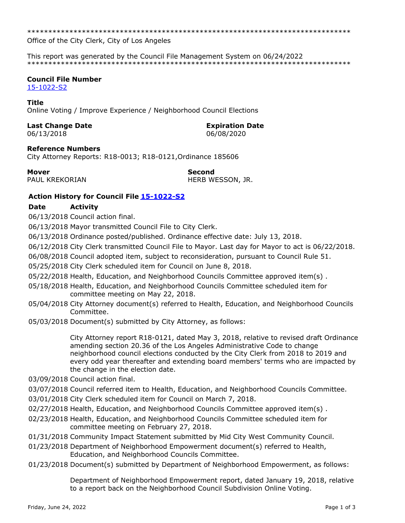\*\*\*\*\*\*\*\*\*\*\*\*\*\*\*\*\*\*\*\*\*\*\*\*\*\*\*\*\*\*\*\*\*\*\*\*\*\*\*\*\*\*\*\*\*\*\*\*\*\*\*\*\*\*\*\*\*\*\*\*\*\*\*\*\*\*\*\*\*\*\*\*\*\*\*\*\*

Office of the City Clerk, City of Los Angeles

This report was generated by the Council File Management System on 06/24/2022 \*\*\*\*\*\*\*\*\*\*\*\*\*\*\*\*\*\*\*\*\*\*\*\*\*\*\*\*\*\*\*\*\*\*\*\*\*\*\*\*\*\*\*\*\*\*\*\*\*\*\*\*\*\*\*\*\*\*\*\*\*\*\*\*\*\*\*\*\*\*\*\*\*\*\*\*\*

# **Council File Number**

[15-1022-S2](https://cityclerk.lacity.org/lacityclerkconnect/index.cfm?fa=ccfi.viewrecord&cfnumber=15-1022-S2)

# **Title**

Online Voting / Improve Experience / Neighborhood Council Elections

# **Last Change Date Expiration Date**

06/13/2018 06/08/2020

### **Reference Numbers**

City Attorney Reports: R18-0013; R18-0121,Ordinance 185606

### **Mover Second**

PAUL KREKORIAN HERB WESSON, JR.

# **Action History for Council File [15-1022-S2](https://cityclerk.lacity.org/lacityclerkconnect/index.cfm?fa=ccfi.viewrecord&cfnumber=15-1022-S2)**

# **Date Activity**

06/13/2018 Council action final.

06/13/2018 Mayor transmitted Council File to City Clerk.

06/13/2018 Ordinance posted/published. Ordinance effective date: July 13, 2018.

06/12/2018 City Clerk transmitted Council File to Mayor. Last day for Mayor to act is 06/22/2018.

06/08/2018 Council adopted item, subject to reconsideration, pursuant to Council Rule 51.

05/25/2018 City Clerk scheduled item for Council on June 8, 2018.

05/22/2018 Health, Education, and Neighborhood Councils Committee approved item(s) .

- 05/18/2018 Health, Education, and Neighborhood Councils Committee scheduled item for committee meeting on May 22, 2018.
- 05/04/2018 City Attorney document(s) referred to Health, Education, and Neighborhood Councils Committee.
- 05/03/2018 Document(s) submitted by City Attorney, as follows:

City Attorney report R18-0121, dated May 3, 2018, relative to revised draft Ordinance amending section 20.36 of the Los Angeles Administrative Code to change neighborhood council elections conducted by the City Clerk from 2018 to 2019 and every odd year thereafter and extending board members' terms who are impacted by the change in the election date.

- 03/09/2018 Council action final.
- 03/07/2018 Council referred item to Health, Education, and Neighborhood Councils Committee.
- 03/01/2018 City Clerk scheduled item for Council on March 7, 2018.
- 02/27/2018 Health, Education, and Neighborhood Councils Committee approved item(s) .
- 02/23/2018 Health, Education, and Neighborhood Councils Committee scheduled item for committee meeting on February 27, 2018.
- 01/31/2018 Community Impact Statement submitted by Mid City West Community Council.
- 01/23/2018 Department of Neighborhood Empowerment document(s) referred to Health, Education, and Neighborhood Councils Committee.
- 01/23/2018 Document(s) submitted by Department of Neighborhood Empowerment, as follows:

Department of Neighborhood Empowerment report, dated January 19, 2018, relative to a report back on the Neighborhood Council Subdivision Online Voting.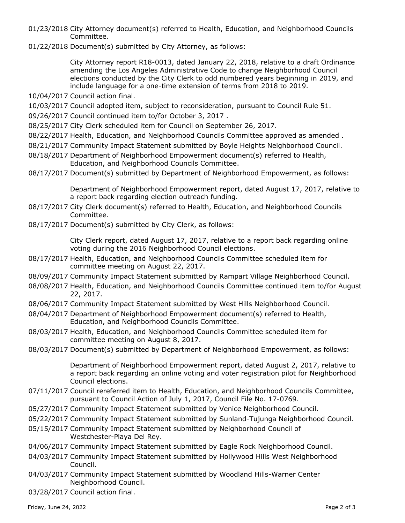- 01/23/2018 City Attorney document(s) referred to Health, Education, and Neighborhood Councils Committee.
- 01/22/2018 Document(s) submitted by City Attorney, as follows:

City Attorney report R18-0013, dated January 22, 2018, relative to a draft Ordinance amending the Los Angeles Administrative Code to change Neighborhood Council elections conducted by the City Clerk to odd numbered years beginning in 2019, and include language for a one-time extension of terms from 2018 to 2019.

- 10/04/2017 Council action final.
- 10/03/2017 Council adopted item, subject to reconsideration, pursuant to Council Rule 51.
- 09/26/2017 Council continued item to/for October 3, 2017 .
- 08/25/2017 City Clerk scheduled item for Council on September 26, 2017.
- 08/22/2017 Health, Education, and Neighborhood Councils Committee approved as amended .
- 08/21/2017 Community Impact Statement submitted by Boyle Heights Neighborhood Council.
- 08/18/2017 Department of Neighborhood Empowerment document(s) referred to Health, Education, and Neighborhood Councils Committee.
- 08/17/2017 Document(s) submitted by Department of Neighborhood Empowerment, as follows:

Department of Neighborhood Empowerment report, dated August 17, 2017, relative to a report back regarding election outreach funding.

- 08/17/2017 City Clerk document(s) referred to Health, Education, and Neighborhood Councils Committee.
- 08/17/2017 Document(s) submitted by City Clerk, as follows:

City Clerk report, dated August 17, 2017, relative to a report back regarding online voting during the 2016 Neighborhood Council elections.

- 08/17/2017 Health, Education, and Neighborhood Councils Committee scheduled item for committee meeting on August 22, 2017.
- 08/09/2017 Community Impact Statement submitted by Rampart Village Neighborhood Council.
- 08/08/2017 Health, Education, and Neighborhood Councils Committee continued item to/for August 22, 2017.
- 08/06/2017 Community Impact Statement submitted by West Hills Neighborhood Council.
- 08/04/2017 Department of Neighborhood Empowerment document(s) referred to Health, Education, and Neighborhood Councils Committee.
- 08/03/2017 Health, Education, and Neighborhood Councils Committee scheduled item for committee meeting on August 8, 2017.
- 08/03/2017 Document(s) submitted by Department of Neighborhood Empowerment, as follows:

Department of Neighborhood Empowerment report, dated August 2, 2017, relative to a report back regarding an online voting and voter registration pilot for Neighborhood Council elections.

- 07/11/2017 Council rereferred item to Health, Education, and Neighborhood Councils Committee, pursuant to Council Action of July 1, 2017, Council File No. 17-0769.
- 05/27/2017 Community Impact Statement submitted by Venice Neighborhood Council.
- 05/22/2017 Community Impact Statement submitted by Sunland-Tujunga Neighborhood Council.
- 05/15/2017 Community Impact Statement submitted by Neighborhood Council of Westchester-Playa Del Rey.
- 04/06/2017 Community Impact Statement submitted by Eagle Rock Neighborhood Council.
- 04/03/2017 Community Impact Statement submitted by Hollywood Hills West Neighborhood Council.
- 04/03/2017 Community Impact Statement submitted by Woodland Hills-Warner Center Neighborhood Council.
- 03/28/2017 Council action final.